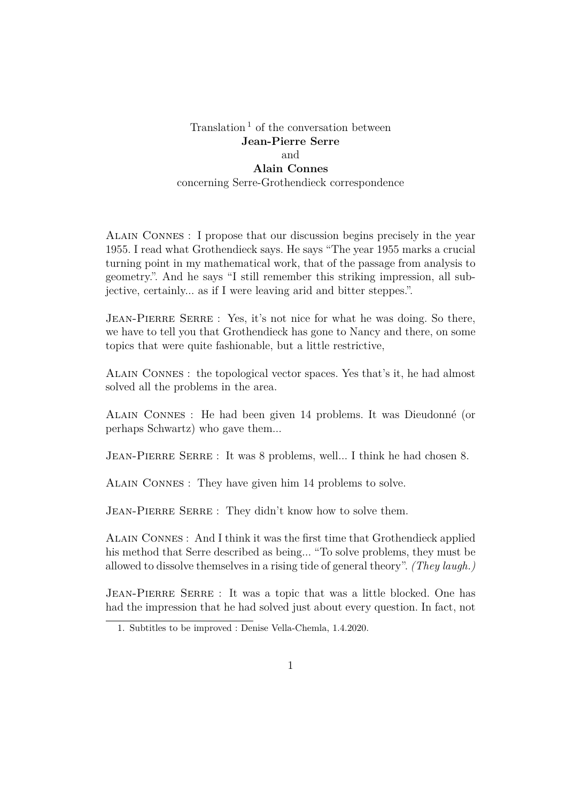## Translation<sup>1</sup> of the conversation between **Jean-Pierre Serre** and **Alain Connes** concerning Serre-Grothendieck correspondence

Alain Connes : I propose that our discussion begins precisely in the year 1955. I read what Grothendieck says. He says "The year 1955 marks a crucial turning point in my mathematical work, that of the passage from analysis to geometry.". And he says "I still remember this striking impression, all subjective, certainly... as if I were leaving arid and bitter steppes.".

JEAN-PIERRE SERRE : Yes, it's not nice for what he was doing. So there, we have to tell you that Grothendieck has gone to Nancy and there, on some topics that were quite fashionable, but a little restrictive,

Alain Connes : the topological vector spaces. Yes that's it, he had almost solved all the problems in the area.

Alain Connes : He had been given 14 problems. It was Dieudonné (or perhaps Schwartz) who gave them...

JEAN-PIERRE SERRE : It was 8 problems, well... I think he had chosen 8.

Alain Connes : They have given him 14 problems to solve.

JEAN-PIERRE SERRE : They didn't know how to solve them.

Alain Connes : And I think it was the first time that Grothendieck applied his method that Serre described as being... "To solve problems, they must be allowed to dissolve themselves in a rising tide of general theory". *(They laugh.)*

JEAN-PIERRE SERRE : It was a topic that was a little blocked. One has had the impression that he had solved just about every question. In fact, not

<sup>1.</sup> Subtitles to be improved : Denise Vella-Chemla, 1.4.2020.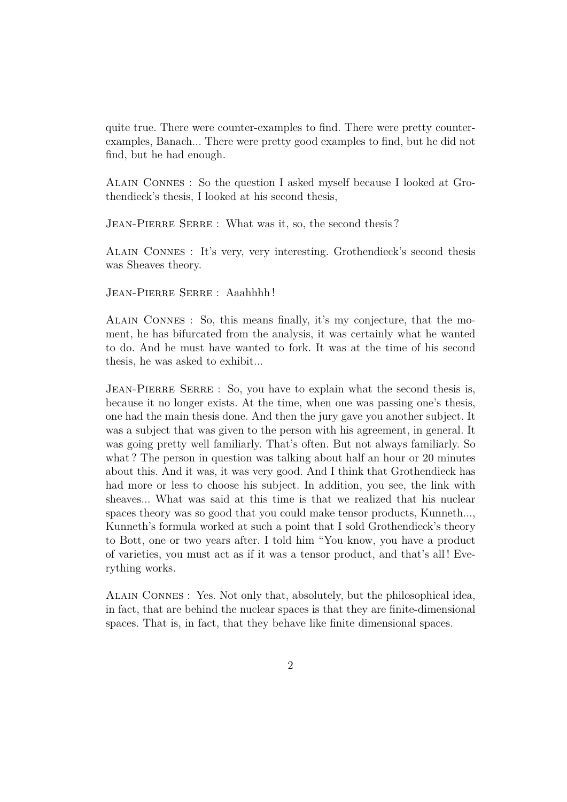quite true. There were counter-examples to find. There were pretty counterexamples, Banach... There were pretty good examples to find, but he did not find, but he had enough.

Alain Connes : So the question I asked myself because I looked at Grothendieck's thesis, I looked at his second thesis,

JEAN-PIERRE SERRE : What was it, so, the second thesis?

Alain Connes : It's very, very interesting. Grothendieck's second thesis was Sheaves theory.

Jean-Pierre Serre : Aaahhhh !

Alain Connes : So, this means finally, it's my conjecture, that the moment, he has bifurcated from the analysis, it was certainly what he wanted to do. And he must have wanted to fork. It was at the time of his second thesis, he was asked to exhibit...

JEAN-PIERRE SERRE : So, you have to explain what the second thesis is, because it no longer exists. At the time, when one was passing one's thesis, one had the main thesis done. And then the jury gave you another subject. It was a subject that was given to the person with his agreement, in general. It was going pretty well familiarly. That's often. But not always familiarly. So what ? The person in question was talking about half an hour or 20 minutes about this. And it was, it was very good. And I think that Grothendieck has had more or less to choose his subject. In addition, you see, the link with sheaves... What was said at this time is that we realized that his nuclear spaces theory was so good that you could make tensor products, Kunneth..., Kunneth's formula worked at such a point that I sold Grothendieck's theory to Bott, one or two years after. I told him "You know, you have a product of varieties, you must act as if it was a tensor product, and that's all ! Everything works.

Alain Connes : Yes. Not only that, absolutely, but the philosophical idea, in fact, that are behind the nuclear spaces is that they are finite-dimensional spaces. That is, in fact, that they behave like finite dimensional spaces.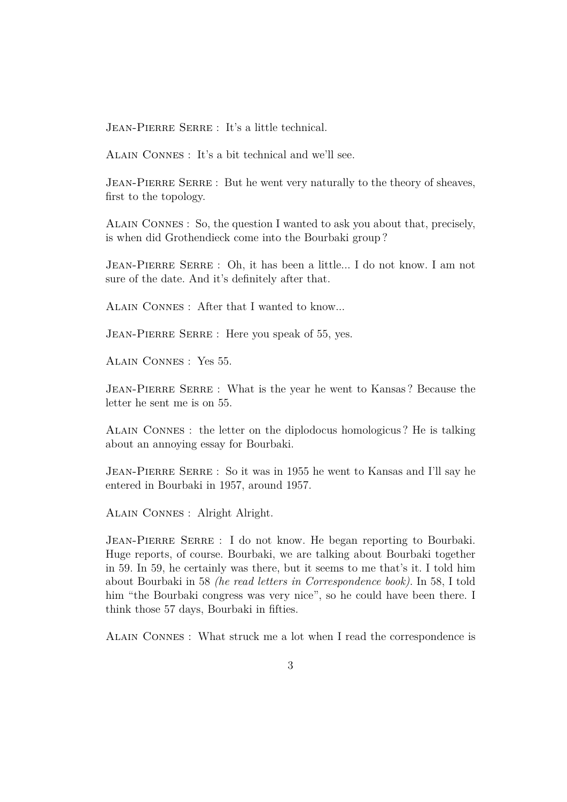JEAN-PIERRE SERRE : It's a little technical.

Alain Connes : It's a bit technical and we'll see.

JEAN-PIERRE SERRE : But he went very naturally to the theory of sheaves, first to the topology.

Alain Connes : So, the question I wanted to ask you about that, precisely, is when did Grothendieck come into the Bourbaki group ?

JEAN-PIERRE SERRE : Oh, it has been a little... I do not know. I am not sure of the date. And it's definitely after that.

Alain Connes : After that I wanted to know...

JEAN-PIERRE SERRE : Here you speak of 55, yes.

Alain Connes : Yes 55.

Jean-Pierre Serre : What is the year he went to Kansas ? Because the letter he sent me is on 55.

Alain Connes : the letter on the diplodocus homologicus ? He is talking about an annoying essay for Bourbaki.

Jean-Pierre Serre : So it was in 1955 he went to Kansas and I'll say he entered in Bourbaki in 1957, around 1957.

Alain Connes : Alright Alright.

JEAN-PIERRE SERRE : I do not know. He began reporting to Bourbaki. Huge reports, of course. Bourbaki, we are talking about Bourbaki together in 59. In 59, he certainly was there, but it seems to me that's it. I told him about Bourbaki in 58 *(he read letters in Correspondence book)*. In 58, I told him "the Bourbaki congress was very nice", so he could have been there. I think those 57 days, Bourbaki in fifties.

Alain Connes : What struck me a lot when I read the correspondence is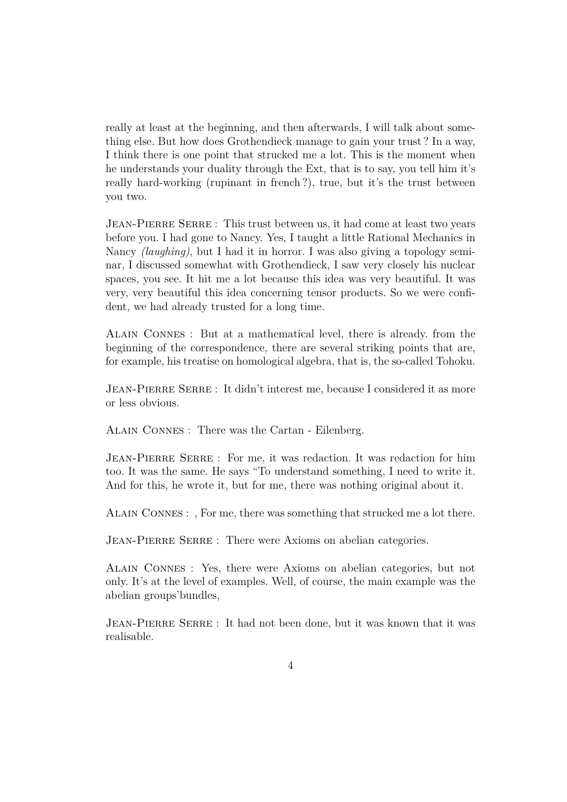really at least at the beginning, and then afterwards, I will talk about something else. But how does Grothendieck manage to gain your trust ? In a way, I think there is one point that strucked me a lot. This is the moment when he understands your duality through the Ext, that is to say, you tell him it's really hard-working (rupinant in french ?), true, but it's the trust between you two.

JEAN-PIERRE SERRE : This trust between us, it had come at least two years before you. I had gone to Nancy. Yes, I taught a little Rational Mechanics in Nancy *(laughing)*, but I had it in horror. I was also giving a topology seminar, I discussed somewhat with Grothendieck, I saw very closely his nuclear spaces, you see. It hit me a lot because this idea was very beautiful. It was very, very beautiful this idea concerning tensor products. So we were confident, we had already trusted for a long time.

Alain Connes : But at a mathematical level, there is already. from the beginning of the correspondence, there are several striking points that are, for example, his treatise on homological algebra, that is, the so-called Tohoku.

JEAN-PIERRE SERRE : It didn't interest me, because I considered it as more or less obvious.

Alain Connes : There was the Cartan - Eilenberg.

JEAN-PIERRE SERRE : For me, it was redaction. It was redaction for him too. It was the same. He says "To understand something, I need to write it. And for this, he wrote it, but for me, there was nothing original about it.

Alain Connes : , For me, there was something that strucked me a lot there.

JEAN-PIERRE SERRE : There were Axioms on abelian categories.

Alain Connes : Yes, there were Axioms on abelian categories, but not only. It's at the level of examples. Well, of course, the main example was the abelian groups'bundles,

Jean-Pierre Serre : It had not been done, but it was known that it was realisable.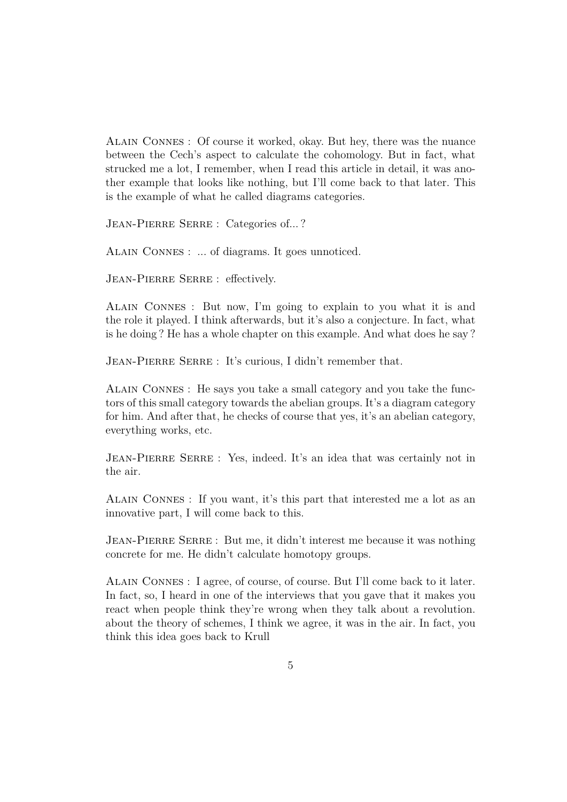Alain Connes : Of course it worked, okay. But hey, there was the nuance between the Cech's aspect to calculate the cohomology. But in fact, what strucked me a lot, I remember, when I read this article in detail, it was another example that looks like nothing, but I'll come back to that later. This is the example of what he called diagrams categories.

JEAN-PIERRE SERRE : Categories of...?

Alain Connes : ... of diagrams. It goes unnoticed.

JEAN-PIERRE SERRE : effectively.

Alain Connes : But now, I'm going to explain to you what it is and the role it played. I think afterwards, but it's also a conjecture. In fact, what is he doing ? He has a whole chapter on this example. And what does he say ?

JEAN-PIERRE SERRE : It's curious, I didn't remember that.

Alain Connes : He says you take a small category and you take the functors of this small category towards the abelian groups. It's a diagram category for him. And after that, he checks of course that yes, it's an abelian category, everything works, etc.

JEAN-PIERRE SERRE : Yes, indeed. It's an idea that was certainly not in the air.

Alain Connes : If you want, it's this part that interested me a lot as an innovative part, I will come back to this.

JEAN-PIERRE SERRE : But me, it didn't interest me because it was nothing concrete for me. He didn't calculate homotopy groups.

Alain Connes : I agree, of course, of course. But I'll come back to it later. In fact, so, I heard in one of the interviews that you gave that it makes you react when people think they're wrong when they talk about a revolution. about the theory of schemes, I think we agree, it was in the air. In fact, you think this idea goes back to Krull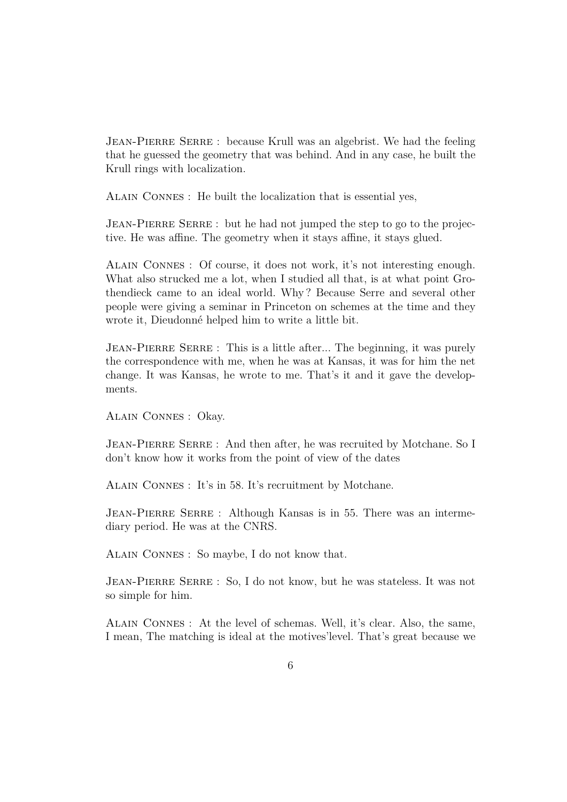JEAN-PIERRE SERRE : because Krull was an algebrist. We had the feeling that he guessed the geometry that was behind. And in any case, he built the Krull rings with localization.

Alain Connes : He built the localization that is essential yes,

JEAN-PIERRE SERRE : but he had not jumped the step to go to the projective. He was affine. The geometry when it stays affine, it stays glued.

Alain Connes : Of course, it does not work, it's not interesting enough. What also strucked me a lot, when I studied all that, is at what point Grothendieck came to an ideal world. Why ? Because Serre and several other people were giving a seminar in Princeton on schemes at the time and they wrote it, Dieudonné helped him to write a little bit.

JEAN-PIERRE SERRE : This is a little after... The beginning, it was purely the correspondence with me, when he was at Kansas, it was for him the net change. It was Kansas, he wrote to me. That's it and it gave the developments.

Alain Connes : Okay.

JEAN-PIERRE SERRE : And then after, he was recruited by Motchane. So I don't know how it works from the point of view of the dates

Alain Connes : It's in 58. It's recruitment by Motchane.

Jean-Pierre Serre : Although Kansas is in 55. There was an intermediary period. He was at the CNRS.

Alain Connes : So maybe, I do not know that.

Jean-Pierre Serre : So, I do not know, but he was stateless. It was not so simple for him.

Alain Connes : At the level of schemas. Well, it's clear. Also, the same, I mean, The matching is ideal at the motives'level. That's great because we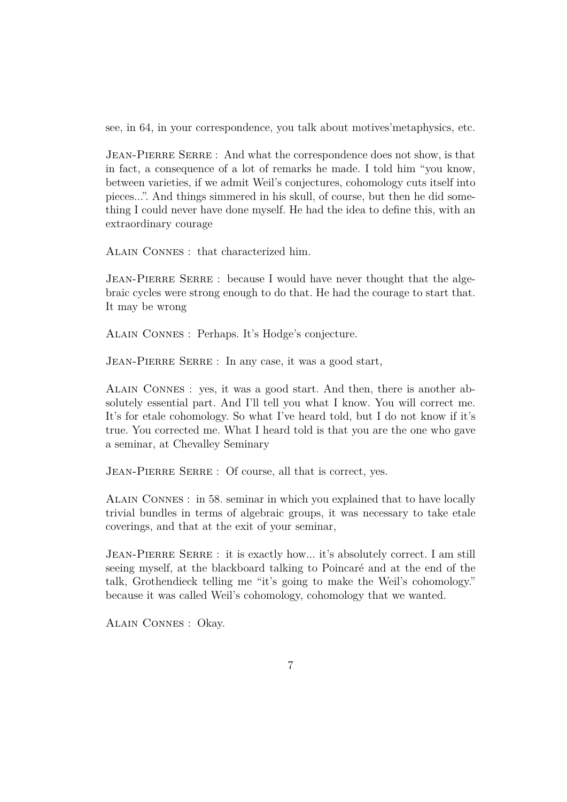see, in 64, in your correspondence, you talk about motives'metaphysics, etc.

JEAN-PIERRE SERRE : And what the correspondence does not show, is that in fact, a consequence of a lot of remarks he made. I told him "you know, between varieties, if we admit Weil's conjectures, cohomology cuts itself into pieces...". And things simmered in his skull, of course, but then he did something I could never have done myself. He had the idea to define this, with an extraordinary courage

Alain Connes : that characterized him.

JEAN-PIERRE SERRE : because I would have never thought that the algebraic cycles were strong enough to do that. He had the courage to start that. It may be wrong

Alain Connes : Perhaps. It's Hodge's conjecture.

JEAN-PIERRE SERRE : In any case, it was a good start,

Alain Connes : yes, it was a good start. And then, there is another absolutely essential part. And I'll tell you what I know. You will correct me. It's for etale cohomology. So what I've heard told, but I do not know if it's true. You corrected me. What I heard told is that you are the one who gave a seminar, at Chevalley Seminary

JEAN-PIERRE SERRE : Of course, all that is correct, yes.

Alain Connes : in 58. seminar in which you explained that to have locally trivial bundles in terms of algebraic groups, it was necessary to take etale coverings, and that at the exit of your seminar,

JEAN-PIERRE SERRE : it is exactly how... it's absolutely correct. I am still seeing myself, at the blackboard talking to Poincaré and at the end of the talk, Grothendieck telling me "it's going to make the Weil's cohomology." because it was called Weil's cohomology, cohomology that we wanted.

Alain Connes : Okay.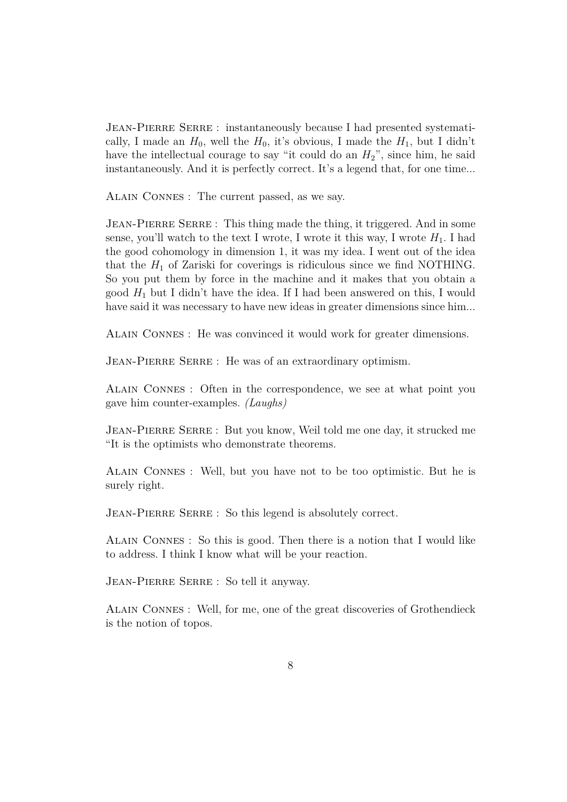JEAN-PIERRE SERRE : instantaneously because I had presented systematically, I made an  $H_0$ , well the  $H_0$ , it's obvious, I made the  $H_1$ , but I didn't have the intellectual courage to say "it could do an  $H_2$ ", since him, he said instantaneously. And it is perfectly correct. It's a legend that, for one time...

Alain Connes : The current passed, as we say.

JEAN-PIERRE SERRE : This thing made the thing, it triggered. And in some sense, you'll watch to the text I wrote, I wrote it this way, I wrote  $H_1$ . I had the good cohomology in dimension 1, it was my idea. I went out of the idea that the  $H_1$  of Zariski for coverings is ridiculous since we find NOTHING. So you put them by force in the machine and it makes that you obtain a good  $H_1$  but I didn't have the idea. If I had been answered on this, I would have said it was necessary to have new ideas in greater dimensions since him...

Alain Connes : He was convinced it would work for greater dimensions.

JEAN-PIERRE SERRE : He was of an extraordinary optimism.

Alain Connes : Often in the correspondence, we see at what point you gave him counter-examples. *(Laughs)*

Jean-Pierre Serre : But you know, Weil told me one day, it strucked me "It is the optimists who demonstrate theorems.

Alain Connes : Well, but you have not to be too optimistic. But he is surely right.

JEAN-PIERRE SERRE : So this legend is absolutely correct.

Alain Connes : So this is good. Then there is a notion that I would like to address. I think I know what will be your reaction.

Jean-Pierre Serre : So tell it anyway.

Alain Connes : Well, for me, one of the great discoveries of Grothendieck is the notion of topos.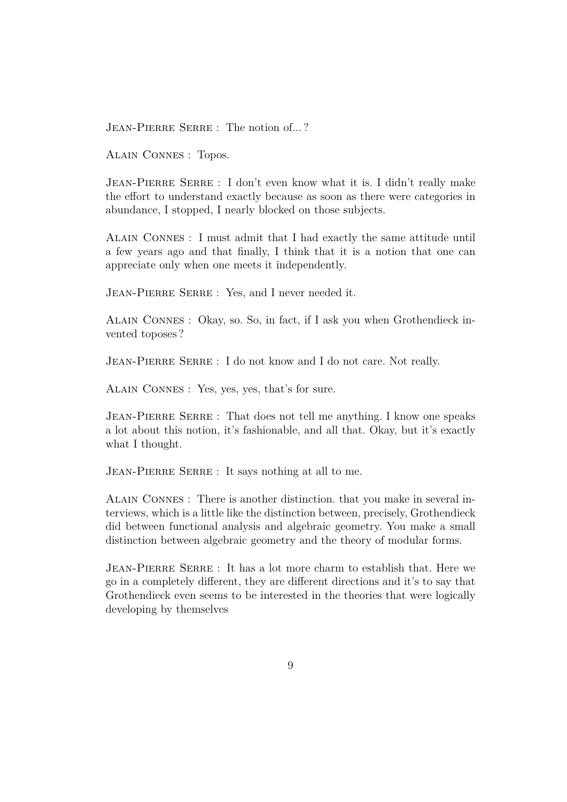JEAN-PIERRE SERRE : The notion of...?

Alain Connes : Topos.

JEAN-PIERRE SERRE : I don't even know what it is. I didn't really make the effort to understand exactly because as soon as there were categories in abundance, I stopped, I nearly blocked on those subjects.

Alain Connes : I must admit that I had exactly the same attitude until a few years ago and that finally, I think that it is a notion that one can appreciate only when one meets it independently.

JEAN-PIERRE SERRE : Yes, and I never needed it.

Alain Connes : Okay, so. So, in fact, if I ask you when Grothendieck invented toposes ?

JEAN-PIERRE SERRE : I do not know and I do not care. Not really.

Alain Connes : Yes, yes, yes, that's for sure.

JEAN-PIERRE SERRE : That does not tell me anything. I know one speaks a lot about this notion, it's fashionable, and all that. Okay, but it's exactly what I thought.

JEAN-PIERRE SERRE : It says nothing at all to me.

Alain Connes : There is another distinction. that you make in several interviews, which is a little like the distinction between, precisely, Grothendieck did between functional analysis and algebraic geometry. You make a small distinction between algebraic geometry and the theory of modular forms.

JEAN-PIERRE SERRE : It has a lot more charm to establish that. Here we go in a completely different, they are different directions and it's to say that Grothendieck even seems to be interested in the theories that were logically developing by themselves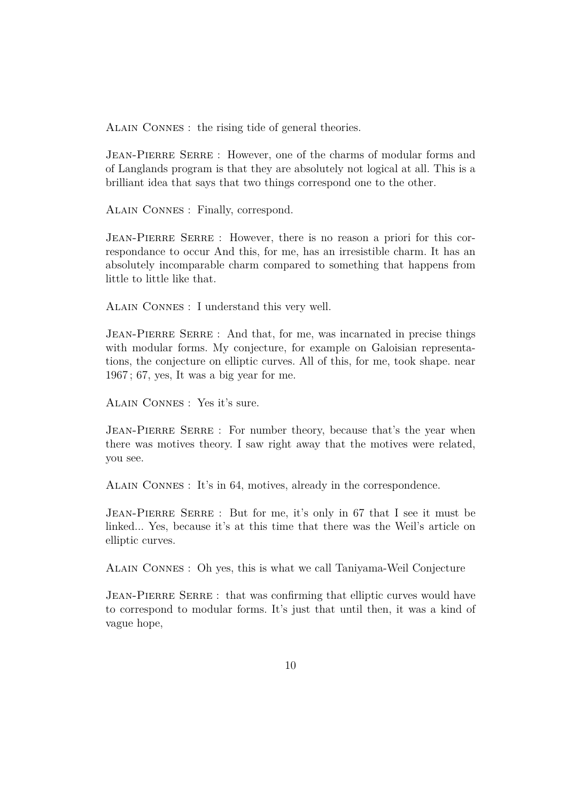Alain Connes : the rising tide of general theories.

Jean-Pierre Serre : However, one of the charms of modular forms and of Langlands program is that they are absolutely not logical at all. This is a brilliant idea that says that two things correspond one to the other.

Alain Connes : Finally, correspond.

JEAN-PIERRE SERRE : However, there is no reason a priori for this correspondance to occur And this, for me, has an irresistible charm. It has an absolutely incomparable charm compared to something that happens from little to little like that.

Alain Connes : I understand this very well.

JEAN-PIERRE SERRE : And that, for me, was incarnated in precise things with modular forms. My conjecture, for example on Galoisian representations, the conjecture on elliptic curves. All of this, for me, took shape. near 1967 ; 67, yes, It was a big year for me.

Alain Connes : Yes it's sure.

JEAN-PIERRE SERRE : For number theory, because that's the year when there was motives theory. I saw right away that the motives were related, you see.

Alain Connes : It's in 64, motives, already in the correspondence.

JEAN-PIERRE SERRE : But for me, it's only in 67 that I see it must be linked... Yes, because it's at this time that there was the Weil's article on elliptic curves.

Alain Connes : Oh yes, this is what we call Taniyama-Weil Conjecture

JEAN-PIERRE SERRE : that was confirming that elliptic curves would have to correspond to modular forms. It's just that until then, it was a kind of vague hope,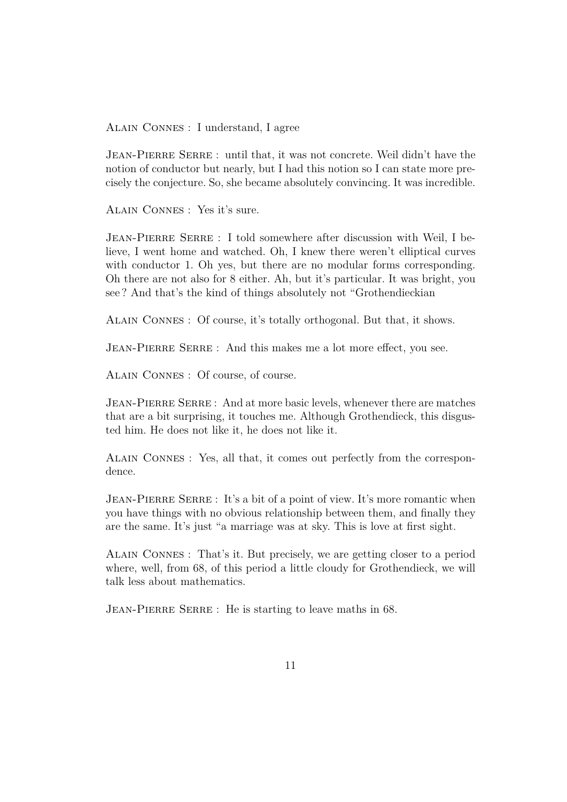Alain Connes : I understand, I agree

Jean-Pierre Serre : until that, it was not concrete. Weil didn't have the notion of conductor but nearly, but I had this notion so I can state more precisely the conjecture. So, she became absolutely convincing. It was incredible.

Alain Connes : Yes it's sure.

Jean-Pierre Serre : I told somewhere after discussion with Weil, I believe, I went home and watched. Oh, I knew there weren't elliptical curves with conductor 1. Oh yes, but there are no modular forms corresponding. Oh there are not also for 8 either. Ah, but it's particular. It was bright, you see ? And that's the kind of things absolutely not "Grothendieckian

Alain Connes : Of course, it's totally orthogonal. But that, it shows.

JEAN-PIERRE SERRE : And this makes me a lot more effect, you see.

Alain Connes : Of course, of course.

Jean-Pierre Serre : And at more basic levels, whenever there are matches that are a bit surprising, it touches me. Although Grothendieck, this disgusted him. He does not like it, he does not like it.

Alain Connes : Yes, all that, it comes out perfectly from the correspondence.

JEAN-PIERRE SERRE : It's a bit of a point of view. It's more romantic when you have things with no obvious relationship between them, and finally they are the same. It's just "a marriage was at sky. This is love at first sight.

Alain Connes : That's it. But precisely, we are getting closer to a period where, well, from 68, of this period a little cloudy for Grothendieck, we will talk less about mathematics.

JEAN-PIERRE SERRE : He is starting to leave maths in 68.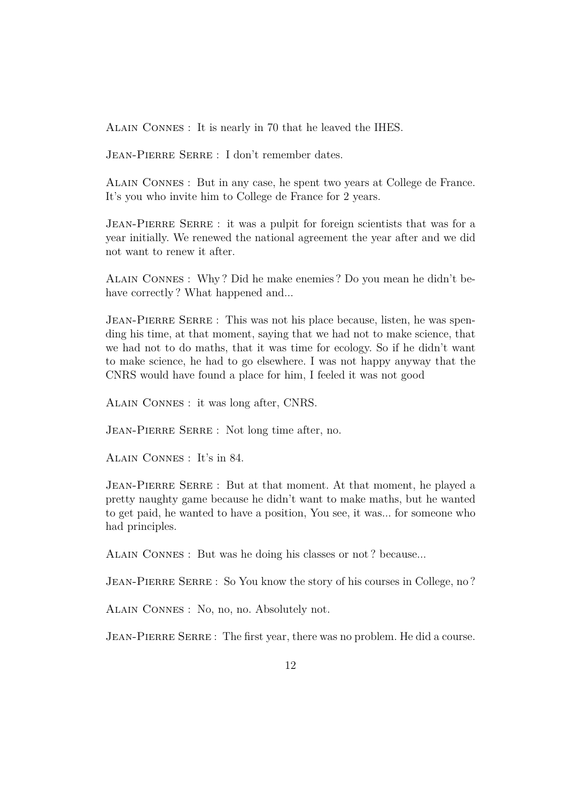Alain Connes : It is nearly in 70 that he leaved the IHES.

Jean-Pierre Serre : I don't remember dates.

Alain Connes : But in any case, he spent two years at College de France. It's you who invite him to College de France for 2 years.

JEAN-PIERRE SERRE : it was a pulpit for foreign scientists that was for a year initially. We renewed the national agreement the year after and we did not want to renew it after.

Alain Connes : Why ? Did he make enemies ? Do you mean he didn't behave correctly? What happened and...

Jean-Pierre Serre : This was not his place because, listen, he was spending his time, at that moment, saying that we had not to make science, that we had not to do maths, that it was time for ecology. So if he didn't want to make science, he had to go elsewhere. I was not happy anyway that the CNRS would have found a place for him, I feeled it was not good

Alain Connes : it was long after, CNRS.

JEAN-PIERRE SERRE : Not long time after, no.

Alain Connes : It's in 84.

Jean-Pierre Serre : But at that moment. At that moment, he played a pretty naughty game because he didn't want to make maths, but he wanted to get paid, he wanted to have a position, You see, it was... for someone who had principles.

Alain Connes : But was he doing his classes or not ? because...

JEAN-PIERRE SERRE : So You know the story of his courses in College, no?

Alain Connes : No, no, no. Absolutely not.

JEAN-PIERRE SERRE : The first year, there was no problem. He did a course.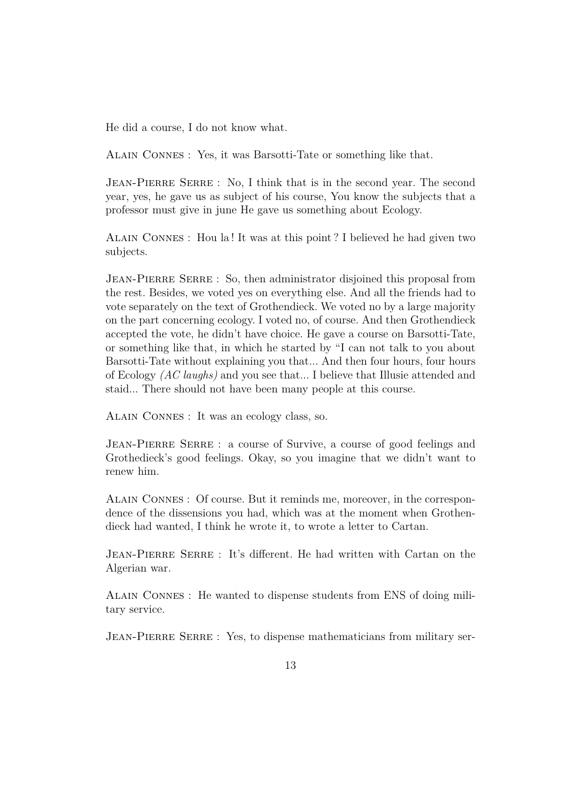He did a course, I do not know what.

Alain Connes : Yes, it was Barsotti-Tate or something like that.

JEAN-PIERRE SERRE : No, I think that is in the second year. The second year, yes, he gave us as subject of his course, You know the subjects that a professor must give in june He gave us something about Ecology.

Alain Connes : Hou la ! It was at this point ? I believed he had given two subjects.

JEAN-PIERRE SERRE : So, then administrator disjoined this proposal from the rest. Besides, we voted yes on everything else. And all the friends had to vote separately on the text of Grothendieck. We voted no by a large majority on the part concerning ecology. I voted no, of course. And then Grothendieck accepted the vote, he didn't have choice. He gave a course on Barsotti-Tate, or something like that, in which he started by "I can not talk to you about Barsotti-Tate without explaining you that... And then four hours, four hours of Ecology *(AC laughs)* and you see that... I believe that Illusie attended and staid... There should not have been many people at this course.

Alain Connes : It was an ecology class, so.

JEAN-PIERRE SERRE : a course of Survive, a course of good feelings and Grothedieck's good feelings. Okay, so you imagine that we didn't want to renew him.

Alain Connes : Of course. But it reminds me, moreover, in the correspondence of the dissensions you had, which was at the moment when Grothendieck had wanted, I think he wrote it, to wrote a letter to Cartan.

JEAN-PIERRE SERRE : It's different. He had written with Cartan on the Algerian war.

Alain Connes : He wanted to dispense students from ENS of doing military service.

JEAN-PIERRE SERRE : Yes, to dispense mathematicians from military ser-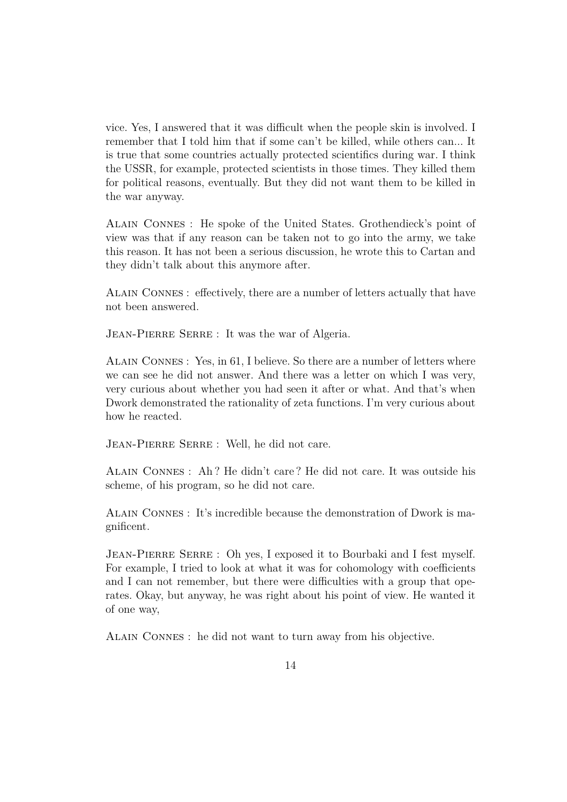vice. Yes, I answered that it was difficult when the people skin is involved. I remember that I told him that if some can't be killed, while others can... It is true that some countries actually protected scientifics during war. I think the USSR, for example, protected scientists in those times. They killed them for political reasons, eventually. But they did not want them to be killed in the war anyway.

Alain Connes : He spoke of the United States. Grothendieck's point of view was that if any reason can be taken not to go into the army, we take this reason. It has not been a serious discussion, he wrote this to Cartan and they didn't talk about this anymore after.

Alain Connes : effectively, there are a number of letters actually that have not been answered.

JEAN-PIERRE SERRE : It was the war of Algeria.

Alain Connes : Yes, in 61, I believe. So there are a number of letters where we can see he did not answer. And there was a letter on which I was very, very curious about whether you had seen it after or what. And that's when Dwork demonstrated the rationality of zeta functions. I'm very curious about how he reacted.

Jean-Pierre Serre : Well, he did not care.

Alain Connes : Ah ? He didn't care ? He did not care. It was outside his scheme, of his program, so he did not care.

Alain Connes : It's incredible because the demonstration of Dwork is magnificent.

Jean-Pierre Serre : Oh yes, I exposed it to Bourbaki and I fest myself. For example, I tried to look at what it was for cohomology with coefficients and I can not remember, but there were difficulties with a group that operates. Okay, but anyway, he was right about his point of view. He wanted it of one way,

Alain Connes : he did not want to turn away from his objective.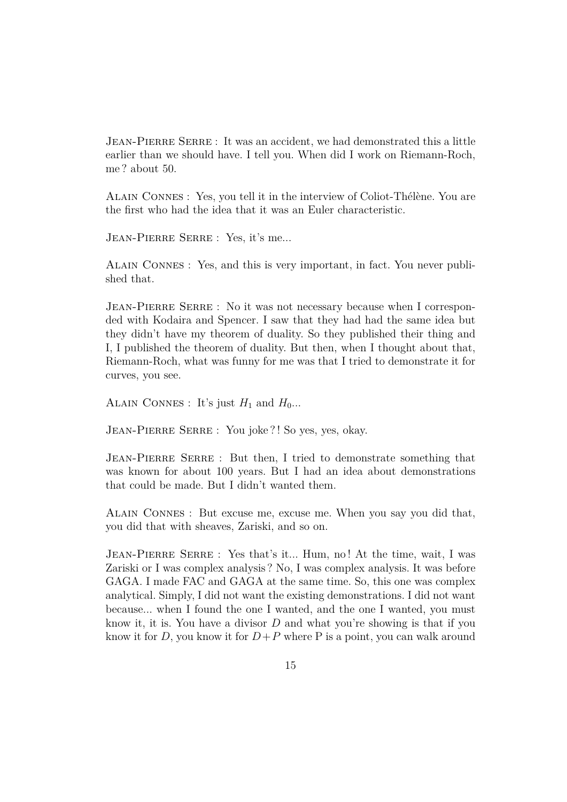JEAN-PIERRE SERRE : It was an accident, we had demonstrated this a little earlier than we should have. I tell you. When did I work on Riemann-Roch, me ? about 50.

Alain Connes : Yes, you tell it in the interview of Coliot-Thélène. You are the first who had the idea that it was an Euler characteristic.

Jean-Pierre Serre : Yes, it's me...

Alain Connes : Yes, and this is very important, in fact. You never published that.

JEAN-PIERRE SERRE : No it was not necessary because when I corresponded with Kodaira and Spencer. I saw that they had had the same idea but they didn't have my theorem of duality. So they published their thing and I, I published the theorem of duality. But then, when I thought about that, Riemann-Roch, what was funny for me was that I tried to demonstrate it for curves, you see.

ALAIN CONNES : It's just  $H_1$  and  $H_0$ ...

Jean-Pierre Serre : You joke ? ! So yes, yes, okay.

JEAN-PIERRE SERRE : But then, I tried to demonstrate something that was known for about 100 years. But I had an idea about demonstrations that could be made. But I didn't wanted them.

Alain Connes : But excuse me, excuse me. When you say you did that, you did that with sheaves, Zariski, and so on.

JEAN-PIERRE SERRE : Yes that's it... Hum, no! At the time, wait, I was Zariski or I was complex analysis ? No, I was complex analysis. It was before GAGA. I made FAC and GAGA at the same time. So, this one was complex analytical. Simply, I did not want the existing demonstrations. I did not want because... when I found the one I wanted, and the one I wanted, you must know it, it is. You have a divisor *D* and what you're showing is that if you know it for *D*, you know it for  $D+P$  where P is a point, you can walk around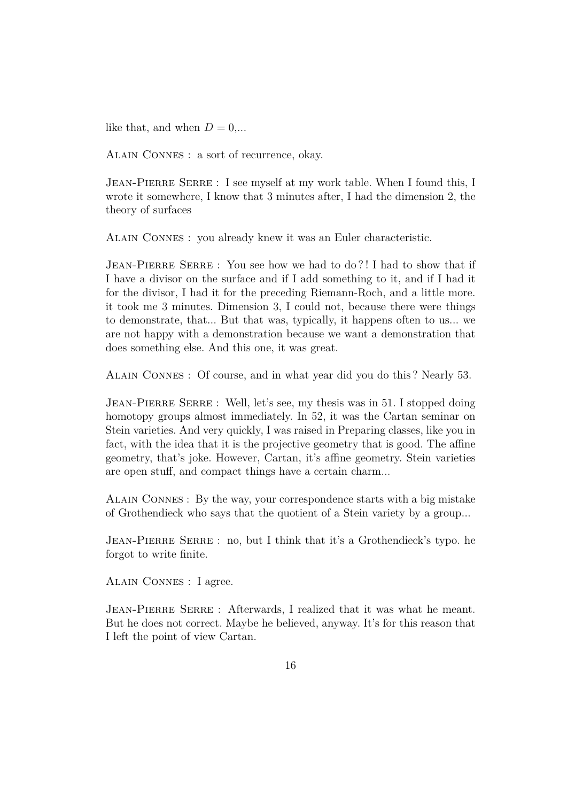like that, and when  $D = 0,...$ 

Alain Connes : a sort of recurrence, okay.

JEAN-PIERRE SERRE : I see myself at my work table. When I found this, I wrote it somewhere, I know that 3 minutes after, I had the dimension 2, the theory of surfaces

Alain Connes : you already knew it was an Euler characteristic.

JEAN-PIERRE SERRE : You see how we had to do?! I had to show that if I have a divisor on the surface and if I add something to it, and if I had it for the divisor, I had it for the preceding Riemann-Roch, and a little more. it took me 3 minutes. Dimension 3, I could not, because there were things to demonstrate, that... But that was, typically, it happens often to us... we are not happy with a demonstration because we want a demonstration that does something else. And this one, it was great.

Alain Connes : Of course, and in what year did you do this ? Nearly 53.

JEAN-PIERRE SERRE : Well, let's see, my thesis was in 51. I stopped doing homotopy groups almost immediately. In 52, it was the Cartan seminar on Stein varieties. And very quickly, I was raised in Preparing classes, like you in fact, with the idea that it is the projective geometry that is good. The affine geometry, that's joke. However, Cartan, it's affine geometry. Stein varieties are open stuff, and compact things have a certain charm...

Alain Connes : By the way, your correspondence starts with a big mistake of Grothendieck who says that the quotient of a Stein variety by a group...

JEAN-PIERRE SERRE : no, but I think that it's a Grothendieck's typo. he forgot to write finite.

Alain Connes : I agree.

JEAN-PIERRE SERRE : Afterwards, I realized that it was what he meant. But he does not correct. Maybe he believed, anyway. It's for this reason that I left the point of view Cartan.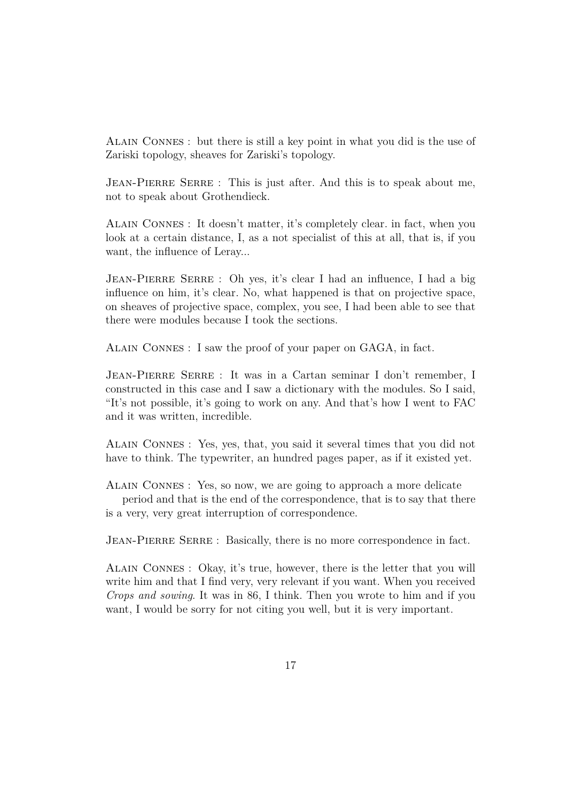Alain Connes : but there is still a key point in what you did is the use of Zariski topology, sheaves for Zariski's topology.

JEAN-PIERRE SERRE : This is just after. And this is to speak about me, not to speak about Grothendieck.

Alain Connes : It doesn't matter, it's completely clear. in fact, when you look at a certain distance, I, as a not specialist of this at all, that is, if you want, the influence of Leray...

JEAN-PIERRE SERRE : Oh yes, it's clear I had an influence, I had a big influence on him, it's clear. No, what happened is that on projective space, on sheaves of projective space, complex, you see, I had been able to see that there were modules because I took the sections.

Alain Connes : I saw the proof of your paper on GAGA, in fact.

Jean-Pierre Serre : It was in a Cartan seminar I don't remember, I constructed in this case and I saw a dictionary with the modules. So I said, "It's not possible, it's going to work on any. And that's how I went to FAC and it was written, incredible.

Alain Connes : Yes, yes, that, you said it several times that you did not have to think. The typewriter, an hundred pages paper, as if it existed yet.

Alain Connes : Yes, so now, we are going to approach a more delicate period and that is the end of the correspondence, that is to say that there is a very, very great interruption of correspondence.

Jean-Pierre Serre : Basically, there is no more correspondence in fact.

Alain Connes : Okay, it's true, however, there is the letter that you will write him and that I find very, very relevant if you want. When you received *Crops and sowing*. It was in 86, I think. Then you wrote to him and if you want, I would be sorry for not citing you well, but it is very important.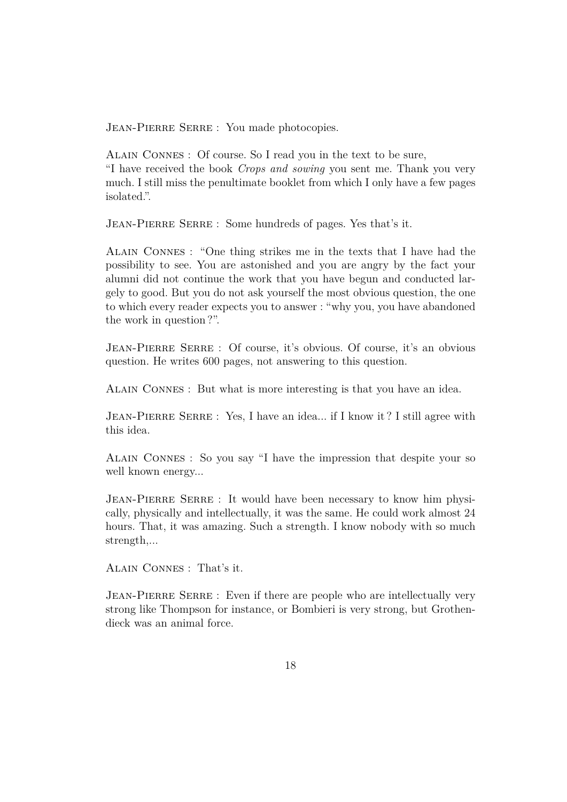JEAN-PIERRE SERRE : You made photocopies.

Alain Connes : Of course. So I read you in the text to be sure, "I have received the book *Crops and sowing* you sent me. Thank you very much. I still miss the penultimate booklet from which I only have a few pages isolated.".

JEAN-PIERRE SERRE : Some hundreds of pages. Yes that's it.

Alain Connes : "One thing strikes me in the texts that I have had the possibility to see. You are astonished and you are angry by the fact your alumni did not continue the work that you have begun and conducted largely to good. But you do not ask yourself the most obvious question, the one to which every reader expects you to answer : "why you, you have abandoned the work in question ?".

Jean-Pierre Serre : Of course, it's obvious. Of course, it's an obvious question. He writes 600 pages, not answering to this question.

Alain Connes : But what is more interesting is that you have an idea.

JEAN-PIERRE SERRE : Yes, I have an idea... if I know it? I still agree with this idea.

Alain Connes : So you say "I have the impression that despite your so well known energy...

JEAN-PIERRE SERRE : It would have been necessary to know him physically, physically and intellectually, it was the same. He could work almost 24 hours. That, it was amazing. Such a strength. I know nobody with so much strength,...

Alain Connes : That's it.

JEAN-PIERRE SERRE : Even if there are people who are intellectually very strong like Thompson for instance, or Bombieri is very strong, but Grothendieck was an animal force.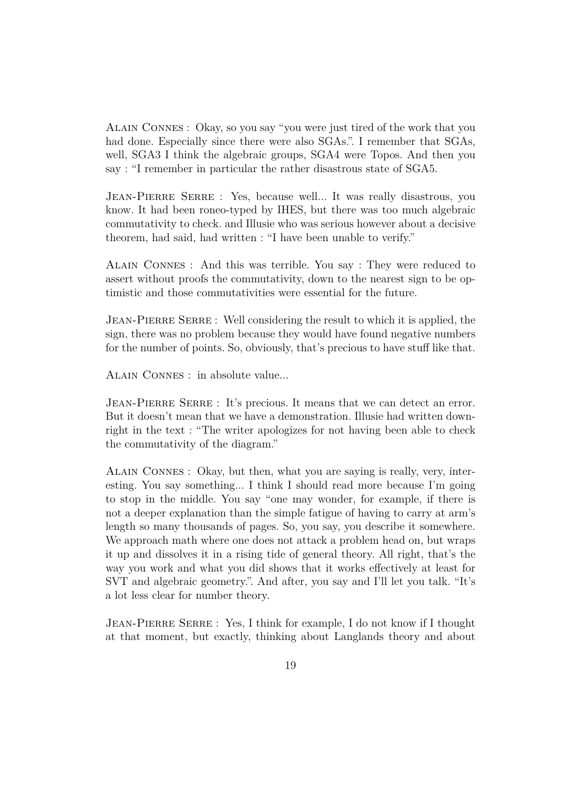Alain Connes : Okay, so you say "you were just tired of the work that you had done. Especially since there were also SGAs.". I remember that SGAs, well, SGA3 I think the algebraic groups, SGA4 were Topos. And then you say : "I remember in particular the rather disastrous state of SGA5.

JEAN-PIERRE SERRE : Yes, because well... It was really disastrous, you know. It had been roneo-typed by IHES, but there was too much algebraic commutativity to check. and Illusie who was serious however about a decisive theorem, had said, had written : "I have been unable to verify."

Alain Connes : And this was terrible. You say : They were reduced to assert without proofs the commutativity, down to the nearest sign to be optimistic and those commutativities were essential for the future.

JEAN-PIERRE SERRE : Well considering the result to which it is applied, the sign, there was no problem because they would have found negative numbers for the number of points. So, obviously, that's precious to have stuff like that.

Alain Connes : in absolute value...

JEAN-PIERRE SERRE : It's precious. It means that we can detect an error. But it doesn't mean that we have a demonstration. Illusie had written downright in the text : "The writer apologizes for not having been able to check the commutativity of the diagram."

Alain Connes : Okay, but then, what you are saying is really, very, interesting. You say something... I think I should read more because I'm going to stop in the middle. You say "one may wonder, for example, if there is not a deeper explanation than the simple fatigue of having to carry at arm's length so many thousands of pages. So, you say, you describe it somewhere. We approach math where one does not attack a problem head on, but wraps it up and dissolves it in a rising tide of general theory. All right, that's the way you work and what you did shows that it works effectively at least for SVT and algebraic geometry.". And after, you say and I'll let you talk. "It's a lot less clear for number theory.

Jean-Pierre Serre : Yes, I think for example, I do not know if I thought at that moment, but exactly, thinking about Langlands theory and about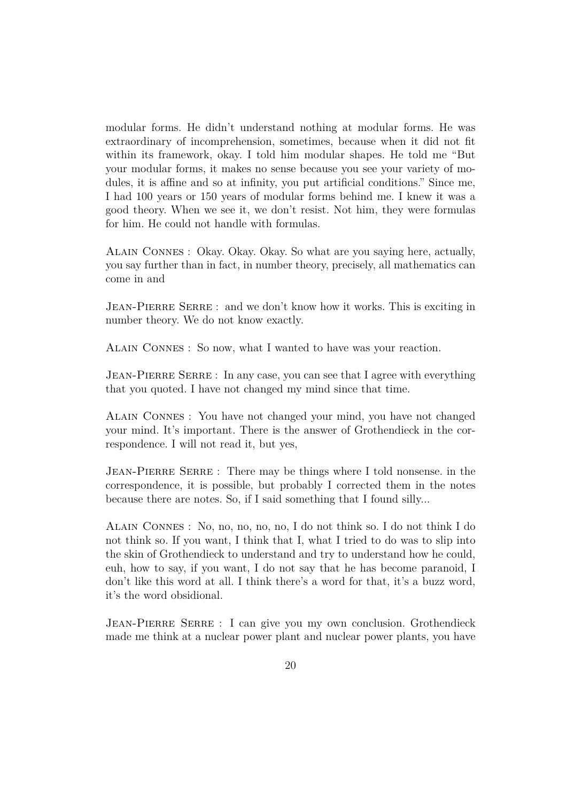modular forms. He didn't understand nothing at modular forms. He was extraordinary of incomprehension, sometimes, because when it did not fit within its framework, okay. I told him modular shapes. He told me "But your modular forms, it makes no sense because you see your variety of modules, it is affine and so at infinity, you put artificial conditions." Since me, I had 100 years or 150 years of modular forms behind me. I knew it was a good theory. When we see it, we don't resist. Not him, they were formulas for him. He could not handle with formulas.

Alain Connes : Okay. Okay. Okay. So what are you saying here, actually, you say further than in fact, in number theory, precisely, all mathematics can come in and

JEAN-PIERRE SERRE : and we don't know how it works. This is exciting in number theory. We do not know exactly.

Alain Connes : So now, what I wanted to have was your reaction.

JEAN-PIERRE SERRE : In any case, you can see that I agree with everything that you quoted. I have not changed my mind since that time.

Alain Connes : You have not changed your mind, you have not changed your mind. It's important. There is the answer of Grothendieck in the correspondence. I will not read it, but yes,

JEAN-PIERRE SERRE : There may be things where I told nonsense, in the correspondence, it is possible, but probably I corrected them in the notes because there are notes. So, if I said something that I found silly...

Alain Connes : No, no, no, no, no, I do not think so. I do not think I do not think so. If you want, I think that I, what I tried to do was to slip into the skin of Grothendieck to understand and try to understand how he could, euh, how to say, if you want, I do not say that he has become paranoid, I don't like this word at all. I think there's a word for that, it's a buzz word, it's the word obsidional.

Jean-Pierre Serre : I can give you my own conclusion. Grothendieck made me think at a nuclear power plant and nuclear power plants, you have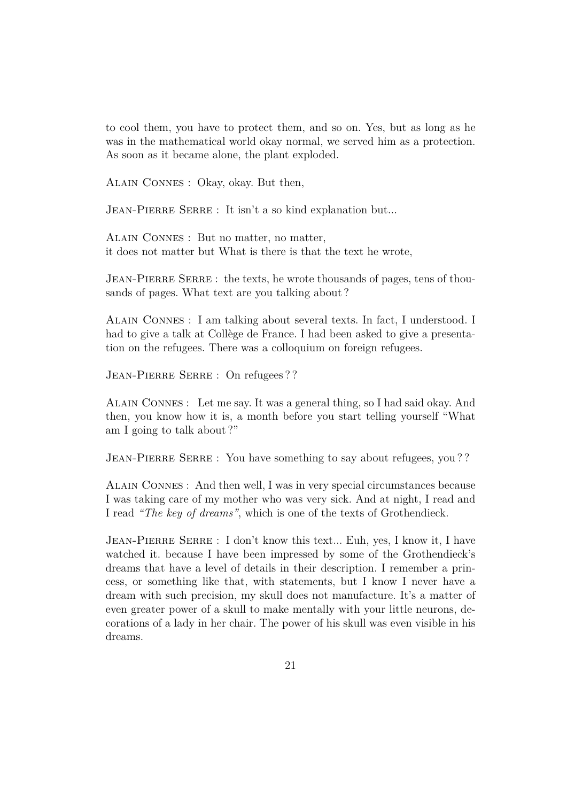to cool them, you have to protect them, and so on. Yes, but as long as he was in the mathematical world okay normal, we served him as a protection. As soon as it became alone, the plant exploded.

Alain Connes : Okay, okay. But then,

JEAN-PIERRE SERRE : It isn't a so kind explanation but...

Alain Connes : But no matter, no matter, it does not matter but What is there is that the text he wrote,

JEAN-PIERRE SERRE : the texts, he wrote thousands of pages, tens of thousands of pages. What text are you talking about ?

Alain Connes : I am talking about several texts. In fact, I understood. I had to give a talk at Collège de France. I had been asked to give a presentation on the refugees. There was a colloquium on foreign refugees.

Jean-Pierre Serre : On refugees ? ?

Alain Connes : Let me say. It was a general thing, so I had said okay. And then, you know how it is, a month before you start telling yourself "What am I going to talk about ?"

JEAN-PIERRE SERRE : You have something to say about refugees, you??

Alain Connes : And then well, I was in very special circumstances because I was taking care of my mother who was very sick. And at night, I read and I read *"The key of dreams"*, which is one of the texts of Grothendieck.

Jean-Pierre Serre : I don't know this text... Euh, yes, I know it, I have watched it. because I have been impressed by some of the Grothendieck's dreams that have a level of details in their description. I remember a princess, or something like that, with statements, but I know I never have a dream with such precision, my skull does not manufacture. It's a matter of even greater power of a skull to make mentally with your little neurons, decorations of a lady in her chair. The power of his skull was even visible in his dreams.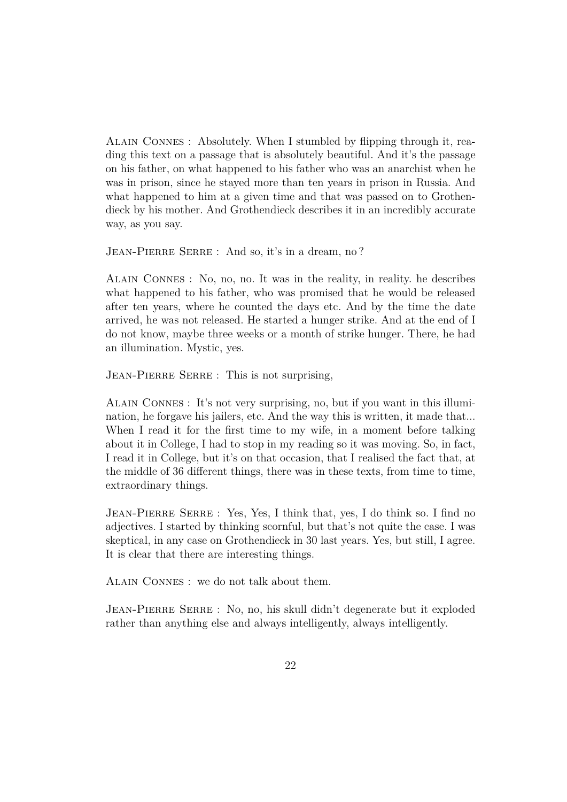Alain Connes : Absolutely. When I stumbled by flipping through it, reading this text on a passage that is absolutely beautiful. And it's the passage on his father, on what happened to his father who was an anarchist when he was in prison, since he stayed more than ten years in prison in Russia. And what happened to him at a given time and that was passed on to Grothendieck by his mother. And Grothendieck describes it in an incredibly accurate way, as you say.

JEAN-PIERRE SERRE : And so, it's in a dream, no?

Alain Connes : No, no, no. It was in the reality, in reality. he describes what happened to his father, who was promised that he would be released after ten years, where he counted the days etc. And by the time the date arrived, he was not released. He started a hunger strike. And at the end of I do not know, maybe three weeks or a month of strike hunger. There, he had an illumination. Mystic, yes.

JEAN-PIERRE SERRE : This is not surprising,

Alain Connes : It's not very surprising, no, but if you want in this illumination, he forgave his jailers, etc. And the way this is written, it made that... When I read it for the first time to my wife, in a moment before talking about it in College, I had to stop in my reading so it was moving. So, in fact, I read it in College, but it's on that occasion, that I realised the fact that, at the middle of 36 different things, there was in these texts, from time to time, extraordinary things.

Jean-Pierre Serre : Yes, Yes, I think that, yes, I do think so. I find no adjectives. I started by thinking scornful, but that's not quite the case. I was skeptical, in any case on Grothendieck in 30 last years. Yes, but still, I agree. It is clear that there are interesting things.

Alain Connes : we do not talk about them.

JEAN-PIERRE SERRE : No, no, his skull didn't degenerate but it exploded rather than anything else and always intelligently, always intelligently.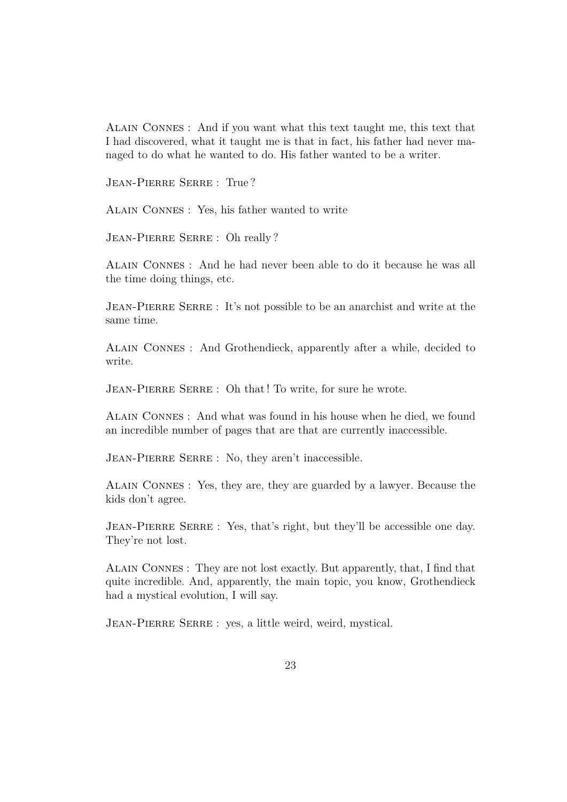Alain Connes : And if you want what this text taught me, this text that I had discovered, what it taught me is that in fact, his father had never managed to do what he wanted to do. His father wanted to be a writer.

Jean-Pierre Serre : True ?

Alain Connes : Yes, his father wanted to write

JEAN-PIERRE SERRE : Oh really?

Alain Connes : And he had never been able to do it because he was all the time doing things, etc.

JEAN-PIERRE SERRE : It's not possible to be an anarchist and write at the same time.

Alain Connes : And Grothendieck, apparently after a while, decided to write.

JEAN-PIERRE SERRE : Oh that! To write, for sure he wrote.

Alain Connes : And what was found in his house when he died, we found an incredible number of pages that are that are currently inaccessible.

JEAN-PIERRE SERRE : No, they aren't inaccessible.

Alain Connes : Yes, they are, they are guarded by a lawyer. Because the kids don't agree.

JEAN-PIERRE SERRE : Yes, that's right, but they'll be accessible one day. They're not lost.

Alain Connes : They are not lost exactly. But apparently, that, I find that quite incredible. And, apparently, the main topic, you know, Grothendieck had a mystical evolution, I will say.

JEAN-PIERRE SERRE : yes, a little weird, weird, mystical.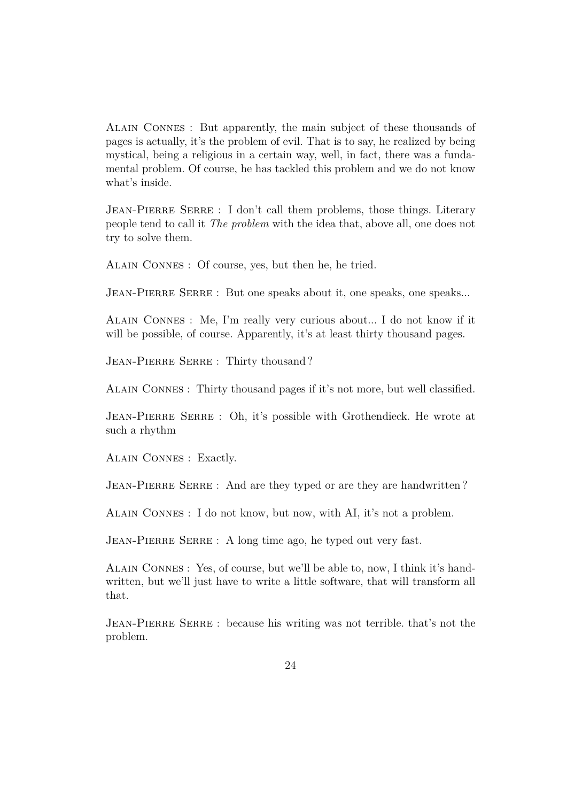Alain Connes : But apparently, the main subject of these thousands of pages is actually, it's the problem of evil. That is to say, he realized by being mystical, being a religious in a certain way, well, in fact, there was a fundamental problem. Of course, he has tackled this problem and we do not know what's inside.

JEAN-PIERRE SERRE : I don't call them problems, those things. Literary people tend to call it *The problem* with the idea that, above all, one does not try to solve them.

Alain Connes : Of course, yes, but then he, he tried.

JEAN-PIERRE SERRE : But one speaks about it, one speaks, one speaks...

Alain Connes : Me, I'm really very curious about... I do not know if it will be possible, of course. Apparently, it's at least thirty thousand pages.

JEAN-PIERRE SERRE : Thirty thousand?

Alain Connes : Thirty thousand pages if it's not more, but well classified.

JEAN-PIERRE SERRE : Oh, it's possible with Grothendieck. He wrote at such a rhythm

Alain Connes : Exactly.

JEAN-PIERRE SERRE : And are they typed or are they are handwritten?

Alain Connes : I do not know, but now, with AI, it's not a problem.

JEAN-PIERRE SERRE : A long time ago, he typed out very fast.

Alain Connes : Yes, of course, but we'll be able to, now, I think it's handwritten, but we'll just have to write a little software, that will transform all that.

Jean-Pierre Serre : because his writing was not terrible. that's not the problem.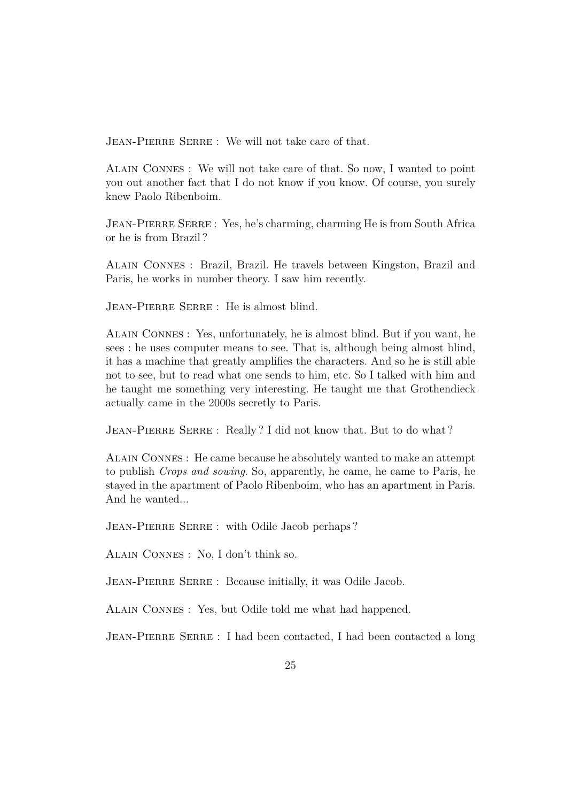JEAN-PIERRE SERRE : We will not take care of that.

Alain Connes : We will not take care of that. So now, I wanted to point you out another fact that I do not know if you know. Of course, you surely knew Paolo Ribenboim.

Jean-Pierre Serre : Yes, he's charming, charming He is from South Africa or he is from Brazil ?

Alain Connes : Brazil, Brazil. He travels between Kingston, Brazil and Paris, he works in number theory. I saw him recently.

JEAN-PIERRE SERRE : He is almost blind.

Alain Connes : Yes, unfortunately, he is almost blind. But if you want, he sees : he uses computer means to see. That is, although being almost blind, it has a machine that greatly amplifies the characters. And so he is still able not to see, but to read what one sends to him, etc. So I talked with him and he taught me something very interesting. He taught me that Grothendieck actually came in the 2000s secretly to Paris.

JEAN-PIERRE SERRE : Really? I did not know that. But to do what?

Alain Connes : He came because he absolutely wanted to make an attempt to publish *Crops and sowing*. So, apparently, he came, he came to Paris, he stayed in the apartment of Paolo Ribenboim, who has an apartment in Paris. And he wanted...

JEAN-PIERRE SERRE : with Odile Jacob perhaps?

Alain Connes : No, I don't think so.

JEAN-PIERRE SERRE : Because initially, it was Odile Jacob.

Alain Connes : Yes, but Odile told me what had happened.

JEAN-PIERRE SERRE : I had been contacted, I had been contacted a long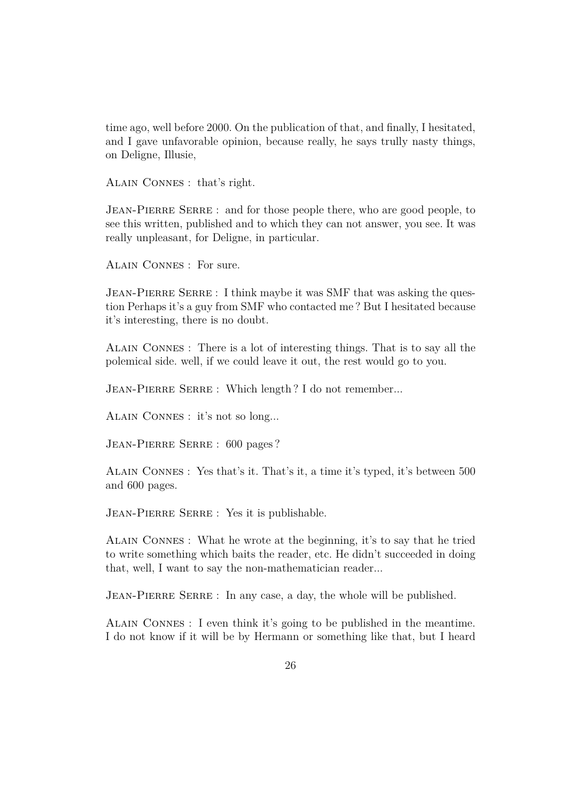time ago, well before 2000. On the publication of that, and finally, I hesitated, and I gave unfavorable opinion, because really, he says trully nasty things, on Deligne, Illusie,

Alain Connes : that's right.

JEAN-PIERRE SERRE : and for those people there, who are good people, to see this written, published and to which they can not answer, you see. It was really unpleasant, for Deligne, in particular.

Alain Connes : For sure.

JEAN-PIERRE SERRE : I think maybe it was SMF that was asking the question Perhaps it's a guy from SMF who contacted me ? But I hesitated because it's interesting, there is no doubt.

Alain Connes : There is a lot of interesting things. That is to say all the polemical side. well, if we could leave it out, the rest would go to you.

JEAN-PIERRE SERRE : Which length? I do not remember...

Alain Connes : it's not so long...

Jean-Pierre Serre : 600 pages ?

Alain Connes : Yes that's it. That's it, a time it's typed, it's between 500 and 600 pages.

Jean-Pierre Serre : Yes it is publishable.

Alain Connes : What he wrote at the beginning, it's to say that he tried to write something which baits the reader, etc. He didn't succeeded in doing that, well, I want to say the non-mathematician reader...

JEAN-PIERRE SERRE : In any case, a day, the whole will be published.

Alain Connes : I even think it's going to be published in the meantime. I do not know if it will be by Hermann or something like that, but I heard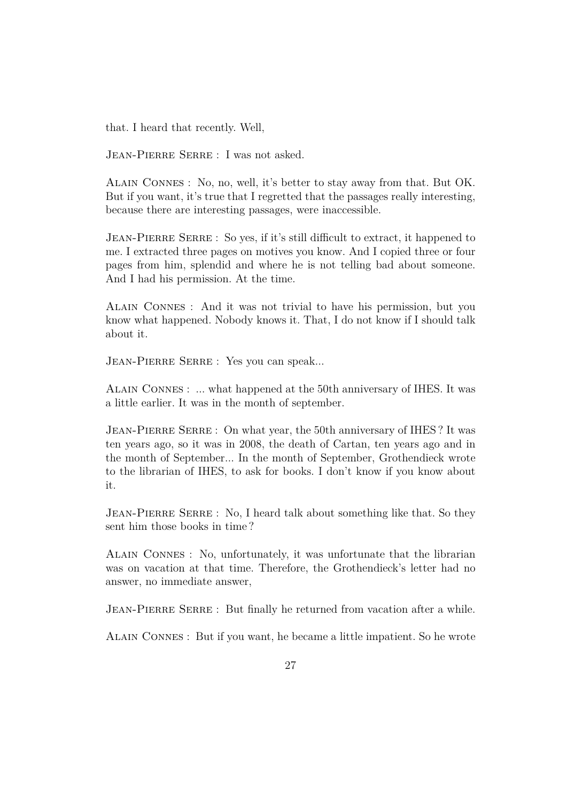that. I heard that recently. Well,

Jean-Pierre Serre : I was not asked.

Alain Connes : No, no, well, it's better to stay away from that. But OK. But if you want, it's true that I regretted that the passages really interesting, because there are interesting passages, were inaccessible.

Jean-Pierre Serre : So yes, if it's still difficult to extract, it happened to me. I extracted three pages on motives you know. And I copied three or four pages from him, splendid and where he is not telling bad about someone. And I had his permission. At the time.

Alain Connes : And it was not trivial to have his permission, but you know what happened. Nobody knows it. That, I do not know if I should talk about it.

Jean-Pierre Serre : Yes you can speak...

Alain Connes : ... what happened at the 50th anniversary of IHES. It was a little earlier. It was in the month of september.

Jean-Pierre Serre : On what year, the 50th anniversary of IHES ? It was ten years ago, so it was in 2008, the death of Cartan, ten years ago and in the month of September... In the month of September, Grothendieck wrote to the librarian of IHES, to ask for books. I don't know if you know about it.

JEAN-PIERRE SERRE : No, I heard talk about something like that. So they sent him those books in time ?

Alain Connes : No, unfortunately, it was unfortunate that the librarian was on vacation at that time. Therefore, the Grothendieck's letter had no answer, no immediate answer,

JEAN-PIERRE SERRE : But finally he returned from vacation after a while.

Alain Connes : But if you want, he became a little impatient. So he wrote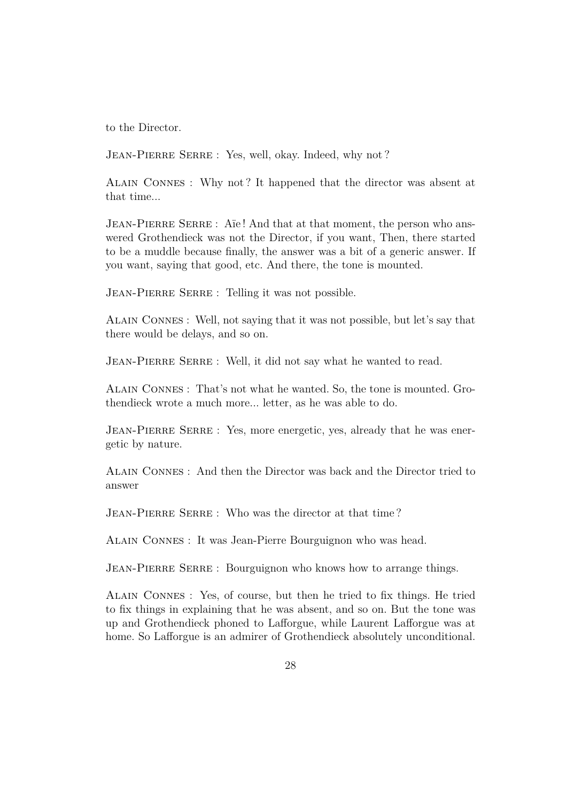to the Director.

JEAN-PIERRE SERRE : Yes, well, okay. Indeed, why not?

Alain Connes : Why not ? It happened that the director was absent at that time...

Jean-Pierre Serre : Aïe ! And that at that moment, the person who answered Grothendieck was not the Director, if you want, Then, there started to be a muddle because finally, the answer was a bit of a generic answer. If you want, saying that good, etc. And there, the tone is mounted.

JEAN-PIERRE SERRE : Telling it was not possible.

Alain Connes : Well, not saying that it was not possible, but let's say that there would be delays, and so on.

JEAN-PIERRE SERRE : Well, it did not say what he wanted to read.

Alain Connes : That's not what he wanted. So, the tone is mounted. Grothendieck wrote a much more... letter, as he was able to do.

JEAN-PIERRE SERRE : Yes, more energetic, yes, already that he was energetic by nature.

Alain Connes : And then the Director was back and the Director tried to answer

JEAN-PIERRE SERRE : Who was the director at that time?

Alain Connes : It was Jean-Pierre Bourguignon who was head.

JEAN-PIERRE SERRE : Bourguignon who knows how to arrange things.

Alain Connes : Yes, of course, but then he tried to fix things. He tried to fix things in explaining that he was absent, and so on. But the tone was up and Grothendieck phoned to Lafforgue, while Laurent Lafforgue was at home. So Lafforgue is an admirer of Grothendieck absolutely unconditional.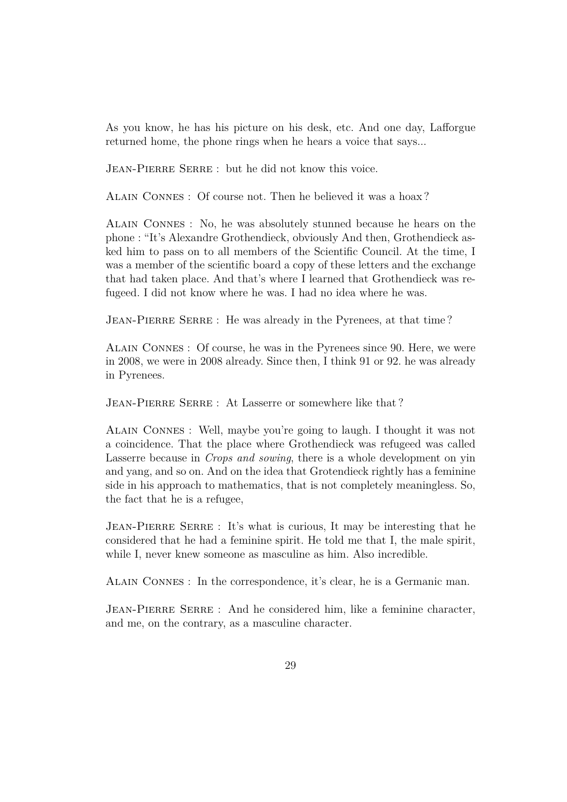As you know, he has his picture on his desk, etc. And one day, Lafforgue returned home, the phone rings when he hears a voice that says...

JEAN-PIERRE SERRE : but he did not know this voice.

Alain Connes : Of course not. Then he believed it was a hoax ?

Alain Connes : No, he was absolutely stunned because he hears on the phone : "It's Alexandre Grothendieck, obviously And then, Grothendieck asked him to pass on to all members of the Scientific Council. At the time, I was a member of the scientific board a copy of these letters and the exchange that had taken place. And that's where I learned that Grothendieck was refugeed. I did not know where he was. I had no idea where he was.

JEAN-PIERRE SERRE : He was already in the Pyrenees, at that time?

Alain Connes : Of course, he was in the Pyrenees since 90. Here, we were in 2008, we were in 2008 already. Since then, I think 91 or 92. he was already in Pyrenees.

JEAN-PIERRE SERRE : At Lasserre or somewhere like that?

Alain Connes : Well, maybe you're going to laugh. I thought it was not a coincidence. That the place where Grothendieck was refugeed was called Lasserre because in *Crops and sowing*, there is a whole development on yin and yang, and so on. And on the idea that Grotendieck rightly has a feminine side in his approach to mathematics, that is not completely meaningless. So, the fact that he is a refugee,

JEAN-PIERRE SERRE : It's what is curious, It may be interesting that he considered that he had a feminine spirit. He told me that I, the male spirit, while I, never knew someone as masculine as him. Also incredible.

Alain Connes : In the correspondence, it's clear, he is a Germanic man.

JEAN-PIERRE SERRE : And he considered him, like a feminine character, and me, on the contrary, as a masculine character.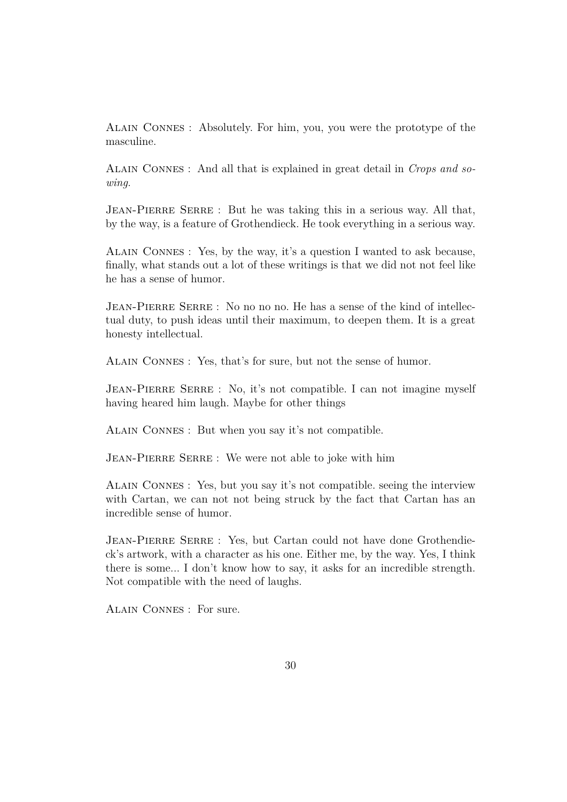Alain Connes : Absolutely. For him, you, you were the prototype of the masculine.

Alain Connes : And all that is explained in great detail in *Crops and sowing*.

JEAN-PIERRE SERRE : But he was taking this in a serious way. All that, by the way, is a feature of Grothendieck. He took everything in a serious way.

Alain Connes : Yes, by the way, it's a question I wanted to ask because, finally, what stands out a lot of these writings is that we did not not feel like he has a sense of humor.

Jean-Pierre Serre : No no no no. He has a sense of the kind of intellectual duty, to push ideas until their maximum, to deepen them. It is a great honesty intellectual.

Alain Connes : Yes, that's for sure, but not the sense of humor.

JEAN-PIERRE SERRE : No, it's not compatible. I can not imagine myself having heared him laugh. Maybe for other things

Alain Connes : But when you say it's not compatible.

JEAN-PIERRE SERRE : We were not able to joke with him

Alain Connes : Yes, but you say it's not compatible. seeing the interview with Cartan, we can not not being struck by the fact that Cartan has an incredible sense of humor.

JEAN-PIERRE SERRE : Yes, but Cartan could not have done Grothendieck's artwork, with a character as his one. Either me, by the way. Yes, I think there is some... I don't know how to say, it asks for an incredible strength. Not compatible with the need of laughs.

Alain Connes : For sure.